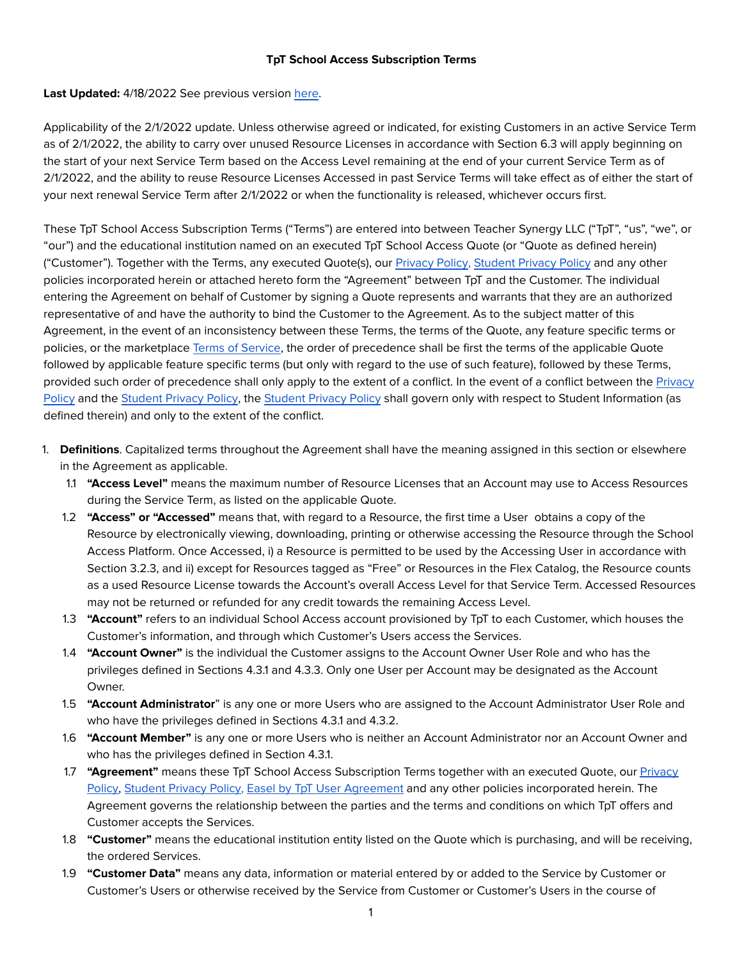### **TpT School Access Subscription Terms**

# Last Updated: 4/18/2022 See previous version [here](https://ecdn.teacherspayteachers.com/static/tptschoolaccesssubscriptiontermsasof452022.pdf).

Applicability of the 2/1/2022 update. Unless otherwise agreed or indicated, for existing Customers in an active Service Term as of 2/1/2022, the ability to carry over unused Resource Licenses in accordance with Section 6.3 will apply beginning on the start of your next Service Term based on the Access Level remaining at the end of your current Service Term as of 2/1/2022, and the ability to reuse Resource Licenses Accessed in past Service Terms will take effect as of either the start of your next renewal Service Term after 2/1/2022 or when the functionality is released, whichever occurs first.

These TpT School Access Subscription Terms ("Terms") are entered into between Teacher Synergy LLC ("TpT", "us", "we", or "our") and the educational institution named on an executed TpT School Access Quote (or "Quote as defined herein) ("Customer"). Together with the Terms, any executed Quote(s), our [Privacy Policy](https://www.teacherspayteachers.com/Privacy-Policy), [Student Privacy Policy](https://www.teacherspayteachers.com/Student-Privacy-Policy) and any other policies incorporated herein or attached hereto form the "Agreement" between TpT and the Customer. The individual entering the Agreement on behalf of Customer by signing a Quote represents and warrants that they are an authorized representative of and have the authority to bind the Customer to the Agreement. As to the subject matter of this Agreement, in the event of an inconsistency between these Terms, the terms of the Quote, any feature specific terms or policies, or the marketplace [Terms of Service,](https://www.teacherspayteachers.com/Terms-of-Service) the order of precedence shall be first the terms of the applicable Quote followed by applicable feature specific terms (but only with regard to the use of such feature), followed by these Terms, provided such order of precedence shall only apply to the extent of a conflict. In the event of a conflict between the [Privacy](https://www.teacherspayteachers.com/Privacy-Policy)  [Policy](https://www.teacherspayteachers.com/Privacy-Policy) and the [Student Privacy Policy](https://www.teacherspayteachers.com/Student-Privacy-Policy), the [Student Privacy Policy](https://www.teacherspayteachers.com/Student-Privacy-Policy) shall govern only with respect to Student Information (as defined therein) and only to the extent of the conflict.

- 1. **Definitions**. Capitalized terms throughout the Agreement shall have the meaning assigned in this section or elsewhere in the Agreement as applicable.
	- 1.1 **"Access Level"** means the maximum number of Resource Licenses that an Account may use to Access Resources during the Service Term, as listed on the applicable Quote.
	- 1.2 **"Access" or "Accessed"** means that, with regard to a Resource, the first time a User obtains a copy of the Resource by electronically viewing, downloading, printing or otherwise accessing the Resource through the School Access Platform. Once Accessed, i) a Resource is permitted to be used by the Accessing User in accordance with Section 3.2.3, and ii) except for Resources tagged as "Free" or Resources in the Flex Catalog, the Resource counts as a used Resource License towards the Account's overall Access Level for that Service Term. Accessed Resources may not be returned or refunded for any credit towards the remaining Access Level.
	- 1.3 **"Account"** refers to an individual School Access account provisioned by TpT to each Customer, which houses the Customer's information, and through which Customer's Users access the Services.
	- 1.4 **"Account Owner"** is the individual the Customer assigns to the Account Owner User Role and who has the privileges defined in Sections 4.3.1 and 4.3.3. Only one User per Account may be designated as the Account Owner.
	- 1.5 **"Account Administrator**" is any one or more Users who are assigned to the Account Administrator User Role and who have the privileges defined in Sections 4.3.1 and 4.3.2.
	- 1.6 **"Account Member"** is any one or more Users who is neither an Account Administrator nor an Account Owner and who has the privileges defined in Section 4.3.1.
	- 1.7 **"Agreement"** means these TpT School Access Subscription Terms together with an executed Quote, our [Privacy](https://www.teacherspayteachers.com/Privacy-Policy) [Policy,](https://www.teacherspayteachers.com/Privacy-Policy) [Student Privacy Policy](https://www.teacherspayteachers.com/Student-Privacy-Policy), [Easel by TpT User Agreement](https://ecdn.teacherspayteachers.com/static/tptdigitaltooluseragreementpublished232020.pdf) and any other policies incorporated herein. The Agreement governs the relationship between the parties and the terms and conditions on which TpT offers and Customer accepts the Services.
	- 1.8 **"Customer"** means the educational institution entity listed on the Quote which is purchasing, and will be receiving, the ordered Services.
	- 1.9 **"Customer Data"** means any data, information or material entered by or added to the Service by Customer or Customer's Users or otherwise received by the Service from Customer or Customer's Users in the course of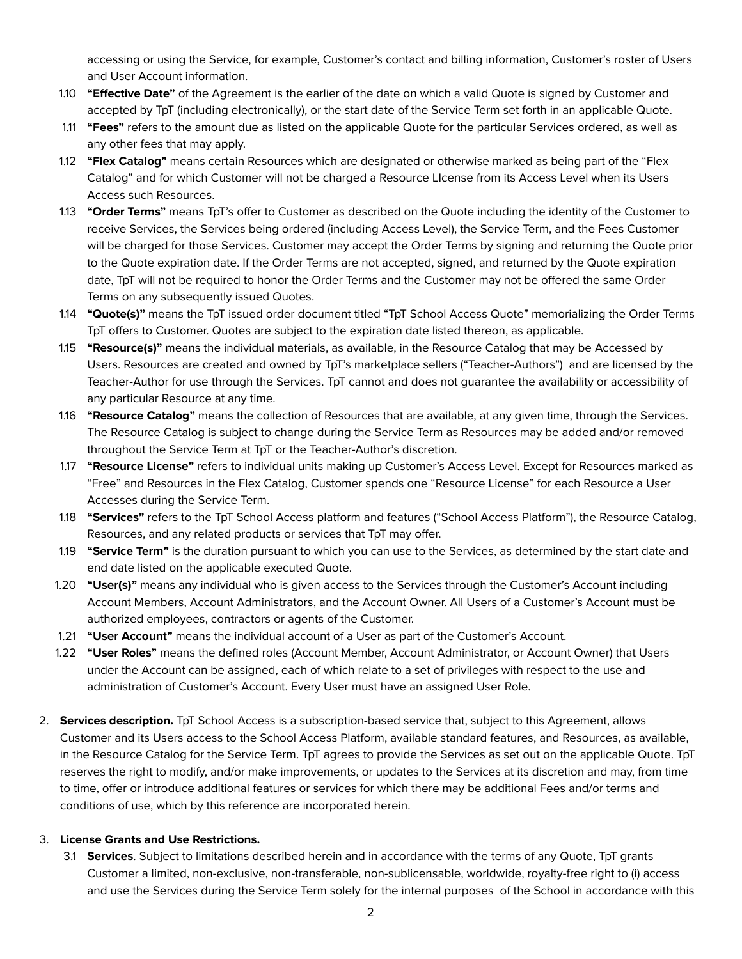accessing or using the Service, for example, Customer's contact and billing information, Customer's roster of Users and User Account information.

- 1.10 **"Effective Date"** of the Agreement is the earlier of the date on which a valid Quote is signed by Customer and accepted by TpT (including electronically), or the start date of the Service Term set forth in an applicable Quote.
- 1.11 **"Fees"** refers to the amount due as listed on the applicable Quote for the particular Services ordered, as well as any other fees that may apply.
- 1.12 **"Flex Catalog"** means certain Resources which are designated or otherwise marked as being part of the "Flex Catalog" and for which Customer will not be charged a Resource LIcense from its Access Level when its Users Access such Resources.
- 1.13 **"Order Terms"** means TpT's offer to Customer as described on the Quote including the identity of the Customer to receive Services, the Services being ordered (including Access Level), the Service Term, and the Fees Customer will be charged for those Services. Customer may accept the Order Terms by signing and returning the Quote prior to the Quote expiration date. If the Order Terms are not accepted, signed, and returned by the Quote expiration date, TpT will not be required to honor the Order Terms and the Customer may not be offered the same Order Terms on any subsequently issued Quotes.
- 1.14 **"Quote(s)"** means the TpT issued order document titled "TpT School Access Quote" memorializing the Order Terms TpT offers to Customer. Quotes are subject to the expiration date listed thereon, as applicable.
- 1.15 **"Resource(s)"** means the individual materials, as available, in the Resource Catalog that may be Accessed by Users. Resources are created and owned by TpT's marketplace sellers ("Teacher-Authors") and are licensed by the Teacher-Author for use through the Services. TpT cannot and does not guarantee the availability or accessibility of any particular Resource at any time.
- 1.16 **"Resource Catalog"** means the collection of Resources that are available, at any given time, through the Services. The Resource Catalog is subject to change during the Service Term as Resources may be added and/or removed throughout the Service Term at TpT or the Teacher-Author's discretion.
- 1.17 **"Resource License"** refers to individual units making up Customer's Access Level. Except for Resources marked as "Free" and Resources in the Flex Catalog, Customer spends one "Resource License" for each Resource a User Accesses during the Service Term.
- 1.18 **"Services"** refers to the TpT School Access platform and features ("School Access Platform"), the Resource Catalog, Resources, and any related products or services that TpT may offer.
- 1.19 **"Service Term"** is the duration pursuant to which you can use to the Services, as determined by the start date and end date listed on the applicable executed Quote.
- 1.20 **"User(s)"** means any individual who is given access to the Services through the Customer's Account including Account Members, Account Administrators, and the Account Owner. All Users of a Customer's Account must be authorized employees, contractors or agents of the Customer.
- 1.21 **"User Account"** means the individual account of a User as part of the Customer's Account.
- 1.22 **"User Roles"** means the defined roles (Account Member, Account Administrator, or Account Owner) that Users under the Account can be assigned, each of which relate to a set of privileges with respect to the use and administration of Customer's Account. Every User must have an assigned User Role.
- 2. **Services description.** TpT School Access is a subscription-based service that, subject to this Agreement, allows Customer and its Users access to the School Access Platform, available standard features, and Resources, as available, in the Resource Catalog for the Service Term. TpT agrees to provide the Services as set out on the applicable Quote. TpT reserves the right to modify, and/or make improvements, or updates to the Services at its discretion and may, from time to time, offer or introduce additional features or services for which there may be additional Fees and/or terms and conditions of use, which by this reference are incorporated herein.

# 3. **License Grants and Use Restrictions.**

3.1 **Services**. Subject to limitations described herein and in accordance with the terms of any Quote, TpT grants Customer a limited, non-exclusive, non-transferable, non-sublicensable, worldwide, royalty-free right to (i) access and use the Services during the Service Term solely for the internal purposes of the School in accordance with this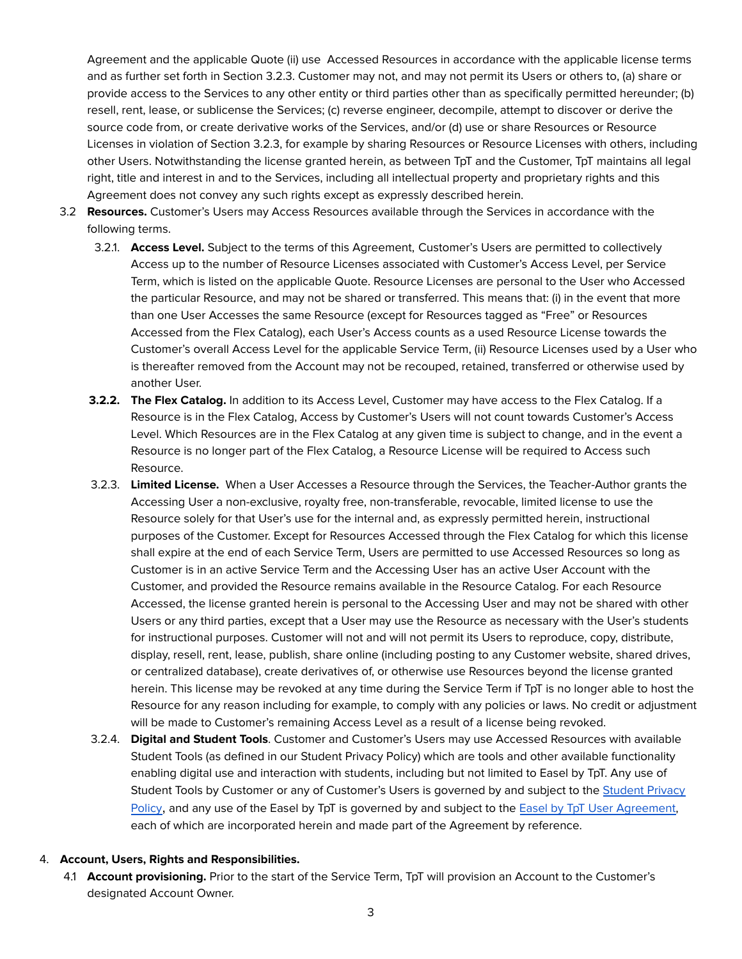Agreement and the applicable Quote (ii) use Accessed Resources in accordance with the applicable license terms and as further set forth in Section 3.2.3. Customer may not, and may not permit its Users or others to, (a) share or provide access to the Services to any other entity or third parties other than as specifically permitted hereunder; (b) resell, rent, lease, or sublicense the Services; (c) reverse engineer, decompile, attempt to discover or derive the source code from, or create derivative works of the Services, and/or (d) use or share Resources or Resource Licenses in violation of Section 3.2.3, for example by sharing Resources or Resource Licenses with others, including other Users. Notwithstanding the license granted herein, as between TpT and the Customer, TpT maintains all legal right, title and interest in and to the Services, including all intellectual property and proprietary rights and this Agreement does not convey any such rights except as expressly described herein.

- 3.2 **Resources.** Customer's Users may Access Resources available through the Services in accordance with the following terms.
	- 3.2.1. **Access Level.** Subject to the terms of this Agreement, Customer's Users are permitted to collectively Access up to the number of Resource Licenses associated with Customer's Access Level, per Service Term, which is listed on the applicable Quote. Resource Licenses are personal to the User who Accessed the particular Resource, and may not be shared or transferred. This means that: (i) in the event that more than one User Accesses the same Resource (except for Resources tagged as "Free" or Resources Accessed from the Flex Catalog), each User's Access counts as a used Resource License towards the Customer's overall Access Level for the applicable Service Term, (ii) Resource Licenses used by a User who is thereafter removed from the Account may not be recouped, retained, transferred or otherwise used by another User.
	- **3.2.2. The Flex Catalog.** In addition to its Access Level, Customer may have access to the Flex Catalog. If a Resource is in the Flex Catalog, Access by Customer's Users will not count towards Customer's Access Level. Which Resources are in the Flex Catalog at any given time is subject to change, and in the event a Resource is no longer part of the Flex Catalog, a Resource License will be required to Access such Resource.
	- 3.2.3. **Limited License.** When a User Accesses a Resource through the Services, the Teacher-Author grants the Accessing User a non-exclusive, royalty free, non-transferable, revocable, limited license to use the Resource solely for that User's use for the internal and, as expressly permitted herein, instructional purposes of the Customer. Except for Resources Accessed through the Flex Catalog for which this license shall expire at the end of each Service Term, Users are permitted to use Accessed Resources so long as Customer is in an active Service Term and the Accessing User has an active User Account with the Customer, and provided the Resource remains available in the Resource Catalog. For each Resource Accessed, the license granted herein is personal to the Accessing User and may not be shared with other Users or any third parties, except that a User may use the Resource as necessary with the User's students for instructional purposes. Customer will not and will not permit its Users to reproduce, copy, distribute, display, resell, rent, lease, publish, share online (including posting to any Customer website, shared drives, or centralized database), create derivatives of, or otherwise use Resources beyond the license granted herein. This license may be revoked at any time during the Service Term if TpT is no longer able to host the Resource for any reason including for example, to comply with any policies or laws. No credit or adjustment will be made to Customer's remaining Access Level as a result of a license being revoked.
	- 3.2.4. **Digital and Student Tools**. Customer and Customer's Users may use Accessed Resources with available Student Tools (as defined in our Student Privacy Policy) which are tools and other available functionality enabling digital use and interaction with students, including but not limited to Easel by TpT. Any use of [Student](https://www.teacherspayteachers.com/Student-Privacy-Policy) Tools by Customer or any of Customer's Users is governed by and subject to the Student Privacy [Policy](https://www.teacherspayteachers.com/Student-Privacy-Policy), and any use of the Easel by TpT is governed by and subject to the Easel by TpT User [Agreement,](https://ecdn.teacherspayteachers.com/static/tptdigitaltooluseragreementpublished232020.pdf) each of which are incorporated herein and made part of the Agreement by reference.

### 4. **Account, Users, Rights and Responsibilities.**

4.1 **Account provisioning.** Prior to the start of the Service Term, TpT will provision an Account to the Customer's designated Account Owner.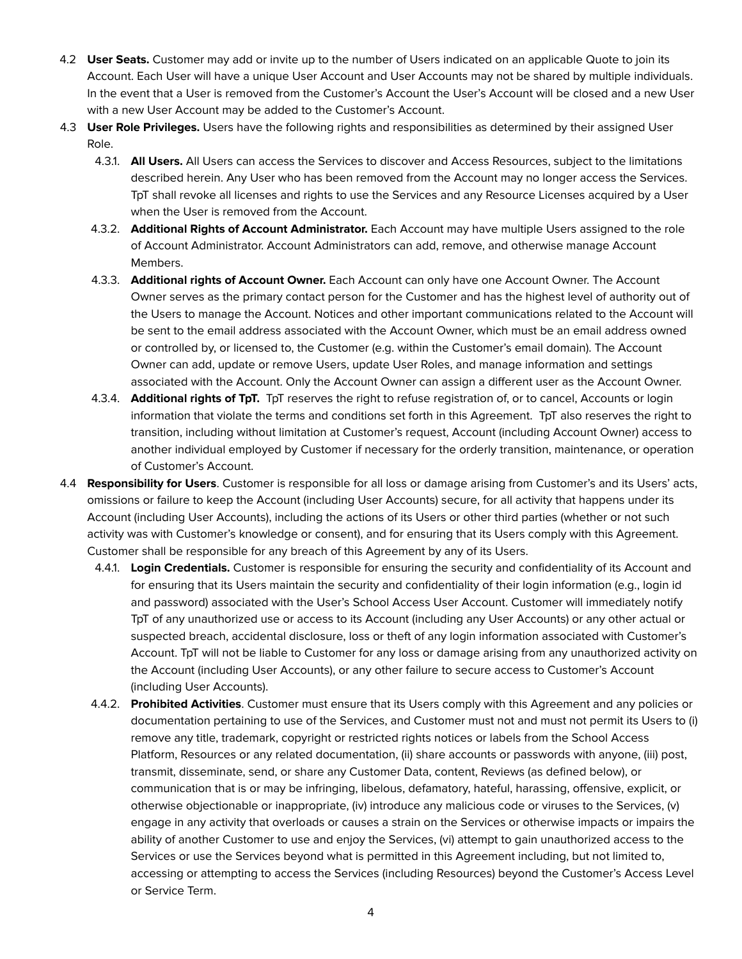- 4.2 **User Seats.** Customer may add or invite up to the number of Users indicated on an applicable Quote to join its Account. Each User will have a unique User Account and User Accounts may not be shared by multiple individuals. In the event that a User is removed from the Customer's Account the User's Account will be closed and a new User with a new User Account may be added to the Customer's Account.
- 4.3 **User Role Privileges.** Users have the following rights and responsibilities as determined by their assigned User Role.
	- 4.3.1. **All Users.** All Users can access the Services to discover and Access Resources, subject to the limitations described herein. Any User who has been removed from the Account may no longer access the Services. TpT shall revoke all licenses and rights to use the Services and any Resource Licenses acquired by a User when the User is removed from the Account.
	- 4.3.2. **Additional Rights of Account Administrator.** Each Account may have multiple Users assigned to the role of Account Administrator. Account Administrators can add, remove, and otherwise manage Account Members.
	- 4.3.3. **Additional rights of Account Owner.** Each Account can only have one Account Owner. The Account Owner serves as the primary contact person for the Customer and has the highest level of authority out of the Users to manage the Account. Notices and other important communications related to the Account will be sent to the email address associated with the Account Owner, which must be an email address owned or controlled by, or licensed to, the Customer (e.g. within the Customer's email domain). The Account Owner can add, update or remove Users, update User Roles, and manage information and settings associated with the Account. Only the Account Owner can assign a different user as the Account Owner.
	- 4.3.4. **Additional rights of TpT.** TpT reserves the right to refuse registration of, or to cancel, Accounts or login information that violate the terms and conditions set forth in this Agreement. TpT also reserves the right to transition, including without limitation at Customer's request, Account (including Account Owner) access to another individual employed by Customer if necessary for the orderly transition, maintenance, or operation of Customer's Account.
- 4.4 **Responsibility for Users**. Customer is responsible for all loss or damage arising from Customer's and its Users' acts, omissions or failure to keep the Account (including User Accounts) secure, for all activity that happens under its Account (including User Accounts), including the actions of its Users or other third parties (whether or not such activity was with Customer's knowledge or consent), and for ensuring that its Users comply with this Agreement. Customer shall be responsible for any breach of this Agreement by any of its Users.
	- 4.4.1. **Login Credentials.** Customer is responsible for ensuring the security and confidentiality of its Account and for ensuring that its Users maintain the security and confidentiality of their login information (e.g., login id and password) associated with the User's School Access User Account. Customer will immediately notify TpT of any unauthorized use or access to its Account (including any User Accounts) or any other actual or suspected breach, accidental disclosure, loss or theft of any login information associated with Customer's Account. TpT will not be liable to Customer for any loss or damage arising from any unauthorized activity on the Account (including User Accounts), or any other failure to secure access to Customer's Account (including User Accounts).
	- 4.4.2. **Prohibited Activities**. Customer must ensure that its Users comply with this Agreement and any policies or documentation pertaining to use of the Services, and Customer must not and must not permit its Users to (i) remove any title, trademark, copyright or restricted rights notices or labels from the School Access Platform, Resources or any related documentation, (ii) share accounts or passwords with anyone, (iii) post, transmit, disseminate, send, or share any Customer Data, content, Reviews (as defined below), or communication that is or may be infringing, libelous, defamatory, hateful, harassing, offensive, explicit, or otherwise objectionable or inappropriate, (iv) introduce any malicious code or viruses to the Services, (v) engage in any activity that overloads or causes a strain on the Services or otherwise impacts or impairs the ability of another Customer to use and enjoy the Services, (vi) attempt to gain unauthorized access to the Services or use the Services beyond what is permitted in this Agreement including, but not limited to, accessing or attempting to access the Services (including Resources) beyond the Customer's Access Level or Service Term.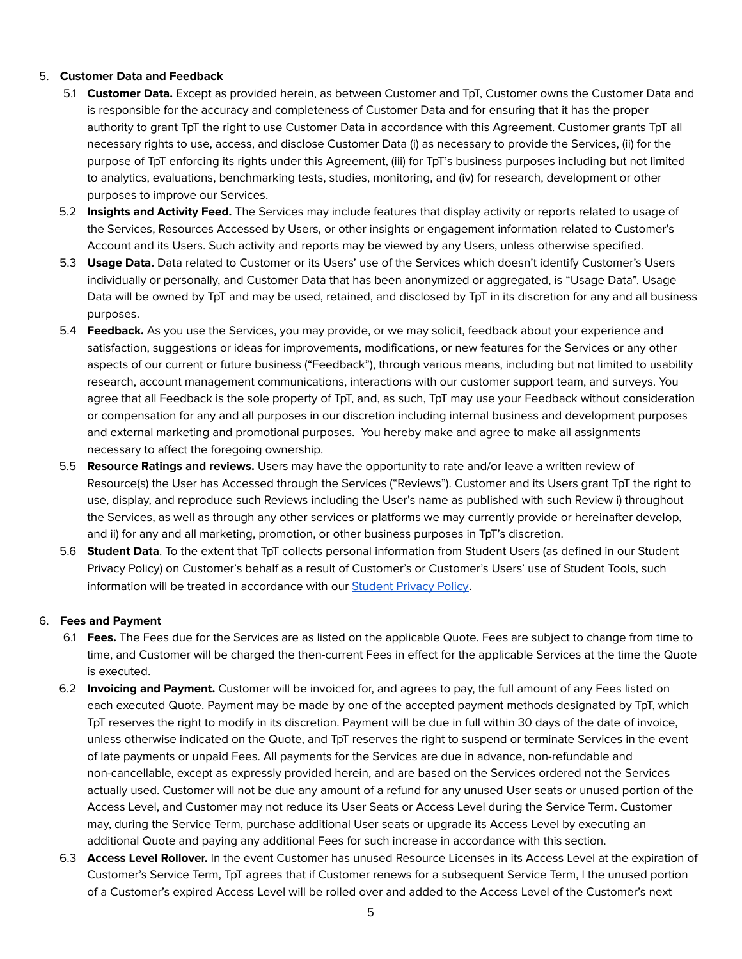## 5. **Customer Data and Feedback**

- 5.1 **Customer Data.** Except as provided herein, as between Customer and TpT, Customer owns the Customer Data and is responsible for the accuracy and completeness of Customer Data and for ensuring that it has the proper authority to grant TpT the right to use Customer Data in accordance with this Agreement. Customer grants TpT all necessary rights to use, access, and disclose Customer Data (i) as necessary to provide the Services, (ii) for the purpose of TpT enforcing its rights under this Agreement, (iii) for TpT's business purposes including but not limited to analytics, evaluations, benchmarking tests, studies, monitoring, and (iv) for research, development or other purposes to improve our Services.
- 5.2 **Insights and Activity Feed.** The Services may include features that display activity or reports related to usage of the Services, Resources Accessed by Users, or other insights or engagement information related to Customer's Account and its Users. Such activity and reports may be viewed by any Users, unless otherwise specified.
- 5.3 **Usage Data.** Data related to Customer or its Users' use of the Services which doesn't identify Customer's Users individually or personally, and Customer Data that has been anonymized or aggregated, is "Usage Data". Usage Data will be owned by TpT and may be used, retained, and disclosed by TpT in its discretion for any and all business purposes.
- 5.4 **Feedback.** As you use the Services, you may provide, or we may solicit, feedback about your experience and satisfaction, suggestions or ideas for improvements, modifications, or new features for the Services or any other aspects of our current or future business ("Feedback"), through various means, including but not limited to usability research, account management communications, interactions with our customer support team, and surveys. You agree that all Feedback is the sole property of TpT, and, as such, TpT may use your Feedback without consideration or compensation for any and all purposes in our discretion including internal business and development purposes and external marketing and promotional purposes. You hereby make and agree to make all assignments necessary to affect the foregoing ownership.
- 5.5 **Resource Ratings and reviews.** Users may have the opportunity to rate and/or leave a written review of Resource(s) the User has Accessed through the Services ("Reviews"). Customer and its Users grant TpT the right to use, display, and reproduce such Reviews including the User's name as published with such Review i) throughout the Services, as well as through any other services or platforms we may currently provide or hereinafter develop, and ii) for any and all marketing, promotion, or other business purposes in TpT's discretion.
- 5.6 **Student Data**. To the extent that TpT collects personal information from Student Users (as defined in our Student Privacy Policy) on Customer's behalf as a result of Customer's or Customer's Users' use of Student Tools, such information will be treated in accordance with our [Student](https://www.teacherspayteachers.com/Student-Privacy-Policy) Privacy Policy.

### 6. **Fees and Payment**

- 6.1 **Fees.** The Fees due for the Services are as listed on the applicable Quote. Fees are subject to change from time to time, and Customer will be charged the then-current Fees in effect for the applicable Services at the time the Quote is executed.
- 6.2 **Invoicing and Payment.** Customer will be invoiced for, and agrees to pay, the full amount of any Fees listed on each executed Quote. Payment may be made by one of the accepted payment methods designated by TpT, which TpT reserves the right to modify in its discretion. Payment will be due in full within 30 days of the date of invoice, unless otherwise indicated on the Quote, and TpT reserves the right to suspend or terminate Services in the event of late payments or unpaid Fees. All payments for the Services are due in advance, non-refundable and non-cancellable, except as expressly provided herein, and are based on the Services ordered not the Services actually used. Customer will not be due any amount of a refund for any unused User seats or unused portion of the Access Level, and Customer may not reduce its User Seats or Access Level during the Service Term. Customer may, during the Service Term, purchase additional User seats or upgrade its Access Level by executing an additional Quote and paying any additional Fees for such increase in accordance with this section.
- 6.3 **Access Level Rollover.** In the event Customer has unused Resource Licenses in its Access Level at the expiration of Customer's Service Term, TpT agrees that if Customer renews for a subsequent Service Term, l the unused portion of a Customer's expired Access Level will be rolled over and added to the Access Level of the Customer's next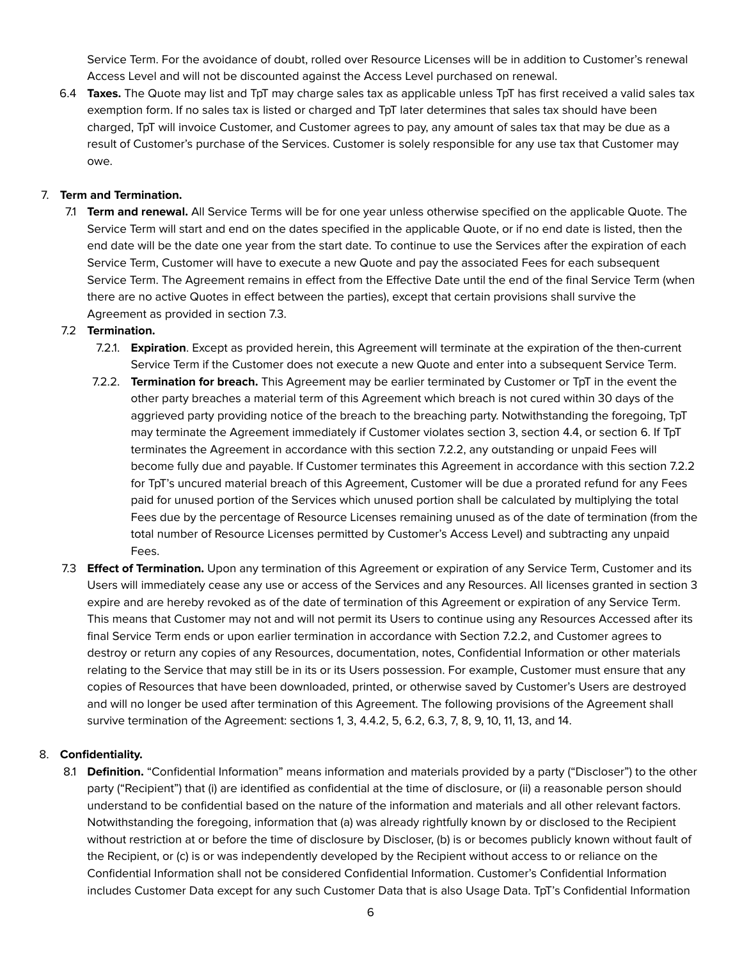Service Term. For the avoidance of doubt, rolled over Resource Licenses will be in addition to Customer's renewal Access Level and will not be discounted against the Access Level purchased on renewal.

6.4 **Taxes.** The Quote may list and TpT may charge sales tax as applicable unless TpT has first received a valid sales tax exemption form. If no sales tax is listed or charged and TpT later determines that sales tax should have been charged, TpT will invoice Customer, and Customer agrees to pay, any amount of sales tax that may be due as a result of Customer's purchase of the Services. Customer is solely responsible for any use tax that Customer may owe.

## 7. **Term and Termination.**

7.1 **Term and renewal.** All Service Terms will be for one year unless otherwise specified on the applicable Quote. The Service Term will start and end on the dates specified in the applicable Quote, or if no end date is listed, then the end date will be the date one year from the start date. To continue to use the Services after the expiration of each Service Term, Customer will have to execute a new Quote and pay the associated Fees for each subsequent Service Term. The Agreement remains in effect from the Effective Date until the end of the final Service Term (when there are no active Quotes in effect between the parties), except that certain provisions shall survive the Agreement as provided in section 7.3.

### 7.2 **Termination.**

- 7.2.1. **Expiration**. Except as provided herein, this Agreement will terminate at the expiration of the then-current Service Term if the Customer does not execute a new Quote and enter into a subsequent Service Term.
- 7.2.2. **Termination for breach.** This Agreement may be earlier terminated by Customer or TpT in the event the other party breaches a material term of this Agreement which breach is not cured within 30 days of the aggrieved party providing notice of the breach to the breaching party. Notwithstanding the foregoing, TpT may terminate the Agreement immediately if Customer violates section 3, section 4.4, or section 6. If TpT terminates the Agreement in accordance with this section 7.2.2, any outstanding or unpaid Fees will become fully due and payable. If Customer terminates this Agreement in accordance with this section 7.2.2 for TpT's uncured material breach of this Agreement, Customer will be due a prorated refund for any Fees paid for unused portion of the Services which unused portion shall be calculated by multiplying the total Fees due by the percentage of Resource Licenses remaining unused as of the date of termination (from the total number of Resource Licenses permitted by Customer's Access Level) and subtracting any unpaid Fees.
- 7.3 **Effect of Termination.** Upon any termination of this Agreement or expiration of any Service Term, Customer and its Users will immediately cease any use or access of the Services and any Resources. All licenses granted in section 3 expire and are hereby revoked as of the date of termination of this Agreement or expiration of any Service Term. This means that Customer may not and will not permit its Users to continue using any Resources Accessed after its final Service Term ends or upon earlier termination in accordance with Section 7.2.2, and Customer agrees to destroy or return any copies of any Resources, documentation, notes, Confidential Information or other materials relating to the Service that may still be in its or its Users possession. For example, Customer must ensure that any copies of Resources that have been downloaded, printed, or otherwise saved by Customer's Users are destroyed and will no longer be used after termination of this Agreement. The following provisions of the Agreement shall survive termination of the Agreement: sections 1, 3, 4.4.2, 5, 6.2, 6.3, 7, 8, 9, 10, 11, 13, and 14.

### 8. **Confidentiality.**

8.1 **Definition.** "Confidential Information" means information and materials provided by a party ("Discloser") to the other party ("Recipient") that (i) are identified as confidential at the time of disclosure, or (ii) a reasonable person should understand to be confidential based on the nature of the information and materials and all other relevant factors. Notwithstanding the foregoing, information that (a) was already rightfully known by or disclosed to the Recipient without restriction at or before the time of disclosure by Discloser, (b) is or becomes publicly known without fault of the Recipient, or (c) is or was independently developed by the Recipient without access to or reliance on the Confidential Information shall not be considered Confidential Information. Customer's Confidential Information includes Customer Data except for any such Customer Data that is also Usage Data. TpT's Confidential Information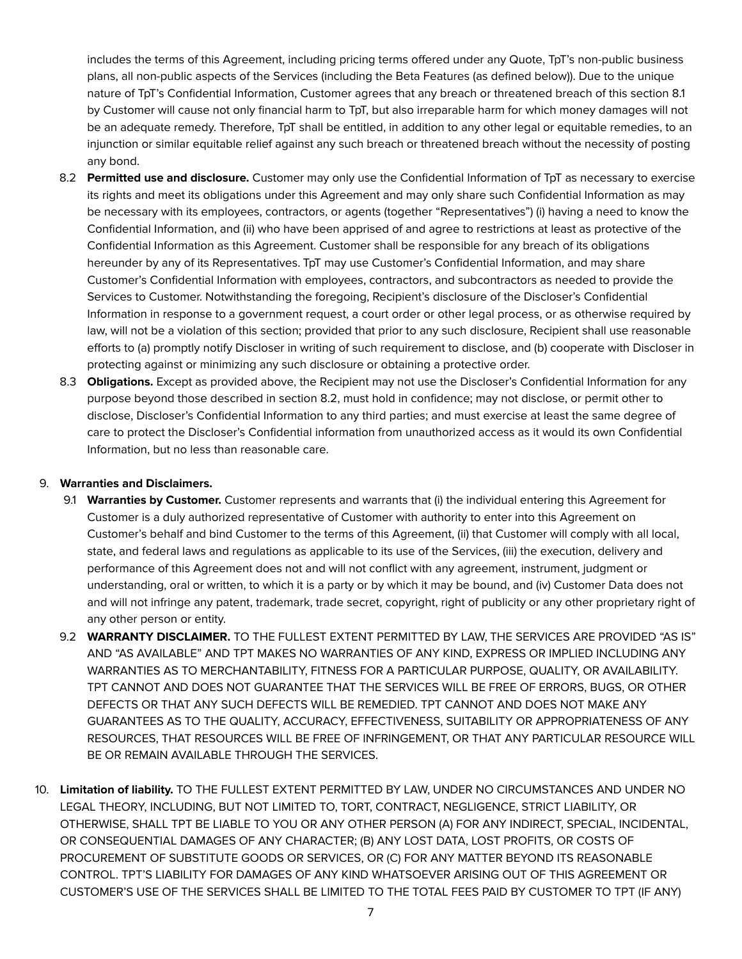includes the terms of this Agreement, including pricing terms offered under any Quote, TpT's non-public business plans, all non-public aspects of the Services (including the Beta Features (as defined below)). Due to the unique nature of TpT's Confidential Information, Customer agrees that any breach or threatened breach of this section 8.1 by Customer will cause not only financial harm to TpT, but also irreparable harm for which money damages will not be an adequate remedy. Therefore, TpT shall be entitled, in addition to any other legal or equitable remedies, to an injunction or similar equitable relief against any such breach or threatened breach without the necessity of posting any bond.

- 8.2 **Permitted use and disclosure.** Customer may only use the Confidential Information of TpT as necessary to exercise its rights and meet its obligations under this Agreement and may only share such Confidential Information as may be necessary with its employees, contractors, or agents (together "Representatives") (i) having a need to know the Confidential Information, and (ii) who have been apprised of and agree to restrictions at least as protective of the Confidential Information as this Agreement. Customer shall be responsible for any breach of its obligations hereunder by any of its Representatives. TpT may use Customer's Confidential Information, and may share Customer's Confidential Information with employees, contractors, and subcontractors as needed to provide the Services to Customer. Notwithstanding the foregoing, Recipient's disclosure of the Discloser's Confidential Information in response to a government request, a court order or other legal process, or as otherwise required by law, will not be a violation of this section; provided that prior to any such disclosure, Recipient shall use reasonable efforts to (a) promptly notify Discloser in writing of such requirement to disclose, and (b) cooperate with Discloser in protecting against or minimizing any such disclosure or obtaining a protective order.
- 8.3 **Obligations.** Except as provided above, the Recipient may not use the Discloser's Confidential Information for any purpose beyond those described in section 8.2, must hold in confidence; may not disclose, or permit other to disclose, Discloser's Confidential Information to any third parties; and must exercise at least the same degree of care to protect the Discloser's Confidential information from unauthorized access as it would its own Confidential Information, but no less than reasonable care.

### 9. **Warranties and Disclaimers.**

- 9.1 **Warranties by Customer.** Customer represents and warrants that (i) the individual entering this Agreement for Customer is a duly authorized representative of Customer with authority to enter into this Agreement on Customer's behalf and bind Customer to the terms of this Agreement, (ii) that Customer will comply with all local, state, and federal laws and regulations as applicable to its use of the Services, (iii) the execution, delivery and performance of this Agreement does not and will not conflict with any agreement, instrument, judgment or understanding, oral or written, to which it is a party or by which it may be bound, and (iv) Customer Data does not and will not infringe any patent, trademark, trade secret, copyright, right of publicity or any other proprietary right of any other person or entity.
- 9.2 **WARRANTY DISCLAIMER.** TO THE FULLEST EXTENT PERMITTED BY LAW, THE SERVICES ARE PROVIDED "AS IS" AND "AS AVAILABLE" AND TPT MAKES NO WARRANTIES OF ANY KIND, EXPRESS OR IMPLIED INCLUDING ANY WARRANTIES AS TO MERCHANTABILITY, FITNESS FOR A PARTICULAR PURPOSE, QUALITY, OR AVAILABILITY. TPT CANNOT AND DOES NOT GUARANTEE THAT THE SERVICES WILL BE FREE OF ERRORS, BUGS, OR OTHER DEFECTS OR THAT ANY SUCH DEFECTS WILL BE REMEDIED. TPT CANNOT AND DOES NOT MAKE ANY GUARANTEES AS TO THE QUALITY, ACCURACY, EFFECTIVENESS, SUITABILITY OR APPROPRIATENESS OF ANY RESOURCES, THAT RESOURCES WILL BE FREE OF INFRINGEMENT, OR THAT ANY PARTICULAR RESOURCE WILL BE OR REMAIN AVAILABLE THROUGH THE SERVICES.
- 10. **Limitation of liability.** TO THE FULLEST EXTENT PERMITTED BY LAW, UNDER NO CIRCUMSTANCES AND UNDER NO LEGAL THEORY, INCLUDING, BUT NOT LIMITED TO, TORT, CONTRACT, NEGLIGENCE, STRICT LIABILITY, OR OTHERWISE, SHALL TPT BE LIABLE TO YOU OR ANY OTHER PERSON (A) FOR ANY INDIRECT, SPECIAL, INCIDENTAL, OR CONSEQUENTIAL DAMAGES OF ANY CHARACTER; (B) ANY LOST DATA, LOST PROFITS, OR COSTS OF PROCUREMENT OF SUBSTITUTE GOODS OR SERVICES, OR (C) FOR ANY MATTER BEYOND ITS REASONABLE CONTROL. TPT'S LIABILITY FOR DAMAGES OF ANY KIND WHATSOEVER ARISING OUT OF THIS AGREEMENT OR CUSTOMER'S USE OF THE SERVICES SHALL BE LIMITED TO THE TOTAL FEES PAID BY CUSTOMER TO TPT (IF ANY)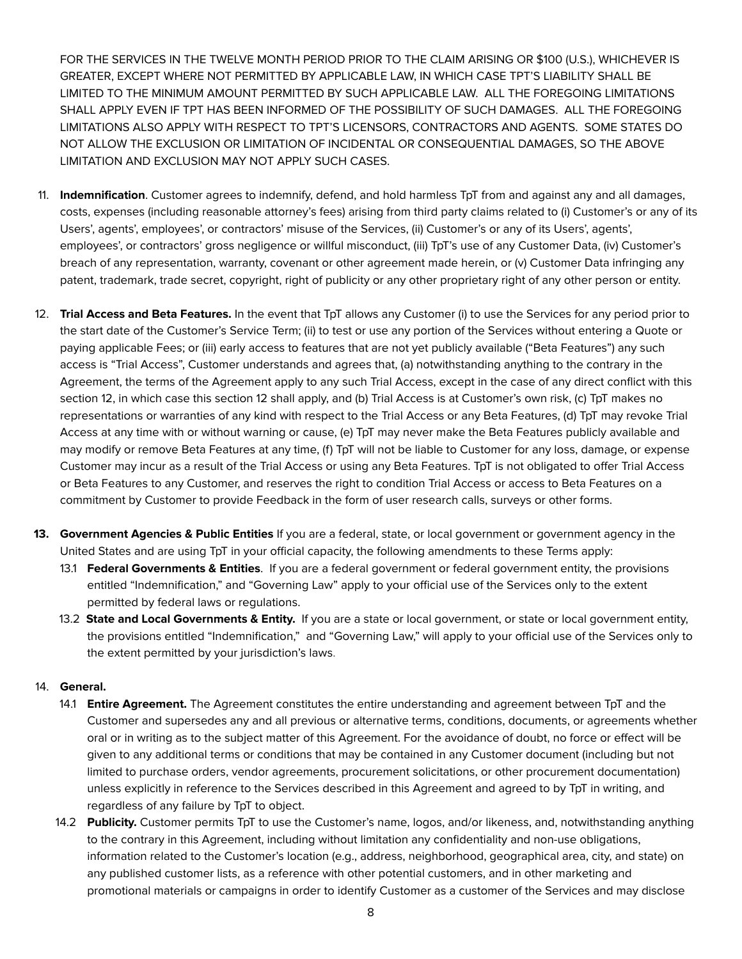FOR THE SERVICES IN THE TWELVE MONTH PERIOD PRIOR TO THE CLAIM ARISING OR \$100 (U.S.), WHICHEVER IS GREATER, EXCEPT WHERE NOT PERMITTED BY APPLICABLE LAW, IN WHICH CASE TPT'S LIABILITY SHALL BE LIMITED TO THE MINIMUM AMOUNT PERMITTED BY SUCH APPLICABLE LAW. ALL THE FOREGOING LIMITATIONS SHALL APPLY EVEN IF TPT HAS BEEN INFORMED OF THE POSSIBILITY OF SUCH DAMAGES. ALL THE FOREGOING LIMITATIONS ALSO APPLY WITH RESPECT TO TPT'S LICENSORS, CONTRACTORS AND AGENTS. SOME STATES DO NOT ALLOW THE EXCLUSION OR LIMITATION OF INCIDENTAL OR CONSEQUENTIAL DAMAGES, SO THE ABOVE LIMITATION AND EXCLUSION MAY NOT APPLY SUCH CASES.

- 11. **Indemnification**. Customer agrees to indemnify, defend, and hold harmless TpT from and against any and all damages, costs, expenses (including reasonable attorney's fees) arising from third party claims related to (i) Customer's or any of its Users', agents', employees', or contractors' misuse of the Services, (ii) Customer's or any of its Users', agents', employees', or contractors' gross negligence or willful misconduct, (iii) TpT's use of any Customer Data, (iv) Customer's breach of any representation, warranty, covenant or other agreement made herein, or (v) Customer Data infringing any patent, trademark, trade secret, copyright, right of publicity or any other proprietary right of any other person or entity.
- 12. **Trial Access and Beta Features.** In the event that TpT allows any Customer (i) to use the Services for any period prior to the start date of the Customer's Service Term; (ii) to test or use any portion of the Services without entering a Quote or paying applicable Fees; or (iii) early access to features that are not yet publicly available ("Beta Features") any such access is "Trial Access", Customer understands and agrees that, (a) notwithstanding anything to the contrary in the Agreement, the terms of the Agreement apply to any such Trial Access, except in the case of any direct conflict with this section 12, in which case this section 12 shall apply, and (b) Trial Access is at Customer's own risk, (c) TpT makes no representations or warranties of any kind with respect to the Trial Access or any Beta Features, (d) TpT may revoke Trial Access at any time with or without warning or cause, (e) TpT may never make the Beta Features publicly available and may modify or remove Beta Features at any time, (f) TpT will not be liable to Customer for any loss, damage, or expense Customer may incur as a result of the Trial Access or using any Beta Features. TpT is not obligated to offer Trial Access or Beta Features to any Customer, and reserves the right to condition Trial Access or access to Beta Features on a commitment by Customer to provide Feedback in the form of user research calls, surveys or other forms.
- **13. Government Agencies & Public Entities** If you are a federal, state, or local government or government agency in the United States and are using TpT in your official capacity, the following amendments to these Terms apply:
	- 13.1 **Federal Governments & Entities**. If you are a federal government or federal government entity, the provisions entitled "Indemnification," and "Governing Law" apply to your official use of the Services only to the extent permitted by federal laws or regulations.
	- 13.2 **State and Local Governments & Entity.** If you are a state or local government, or state or local government entity, the provisions entitled "Indemnification," and "Governing Law," will apply to your official use of the Services only to the extent permitted by your jurisdiction's laws.

# 14. **General.**

- 14.1 **Entire Agreement.** The Agreement constitutes the entire understanding and agreement between TpT and the Customer and supersedes any and all previous or alternative terms, conditions, documents, or agreements whether oral or in writing as to the subject matter of this Agreement. For the avoidance of doubt, no force or effect will be given to any additional terms or conditions that may be contained in any Customer document (including but not limited to purchase orders, vendor agreements, procurement solicitations, or other procurement documentation) unless explicitly in reference to the Services described in this Agreement and agreed to by TpT in writing, and regardless of any failure by TpT to object.
- 14.2 **Publicity.** Customer permits TpT to use the Customer's name, logos, and/or likeness, and, notwithstanding anything to the contrary in this Agreement, including without limitation any confidentiality and non-use obligations, information related to the Customer's location (e.g., address, neighborhood, geographical area, city, and state) on any published customer lists, as a reference with other potential customers, and in other marketing and promotional materials or campaigns in order to identify Customer as a customer of the Services and may disclose